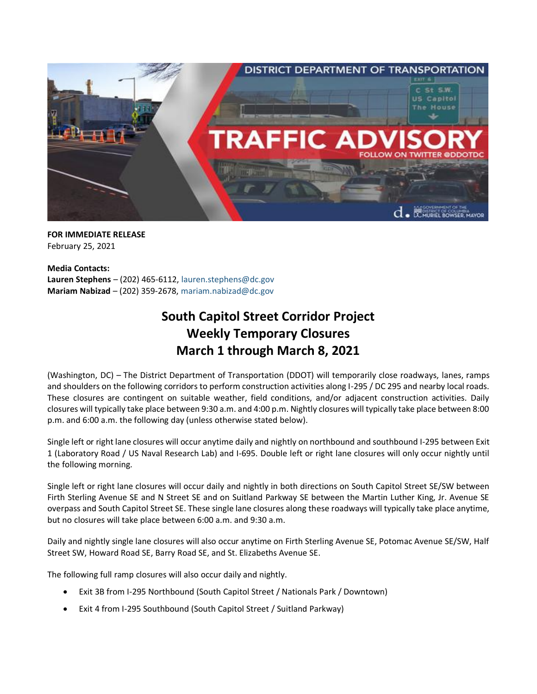

**FOR IMMEDIATE RELEASE** February 25, 2021

**Media Contacts: Lauren Stephens** – (202) 465-6112, [lauren.stephens@dc.gov](mailto:lauren.stephens@dc.gov) **Mariam Nabizad** – (202) 359-2678, [mariam.nabizad@dc.gov](mailto:mariam.nabizad@dc.gov)

## **South Capitol Street Corridor Project Weekly Temporary Closures March 1 through March 8, 2021**

(Washington, DC) – The District Department of Transportation (DDOT) will temporarily close roadways, lanes, ramps and shoulders on the following corridors to perform construction activities along I-295 / DC 295 and nearby local roads. These closures are contingent on suitable weather, field conditions, and/or adjacent construction activities. Daily closures will typically take place between 9:30 a.m. and 4:00 p.m. Nightly closures will typically take place between 8:00 p.m. and 6:00 a.m. the following day (unless otherwise stated below).

Single left or right lane closures will occur anytime daily and nightly on northbound and southbound I-295 between Exit 1 (Laboratory Road / US Naval Research Lab) and I-695. Double left or right lane closures will only occur nightly until the following morning.

Single left or right lane closures will occur daily and nightly in both directions on South Capitol Street SE/SW between Firth Sterling Avenue SE and N Street SE and on Suitland Parkway SE between the Martin Luther King, Jr. Avenue SE overpass and South Capitol Street SE. These single lane closures along these roadways will typically take place anytime, but no closures will take place between 6:00 a.m. and 9:30 a.m.

Daily and nightly single lane closures will also occur anytime on Firth Sterling Avenue SE, Potomac Avenue SE/SW, Half Street SW, Howard Road SE, Barry Road SE, and St. Elizabeths Avenue SE.

The following full ramp closures will also occur daily and nightly.

- Exit 3B from I-295 Northbound (South Capitol Street / Nationals Park / Downtown)
- Exit 4 from I-295 Southbound (South Capitol Street / Suitland Parkway)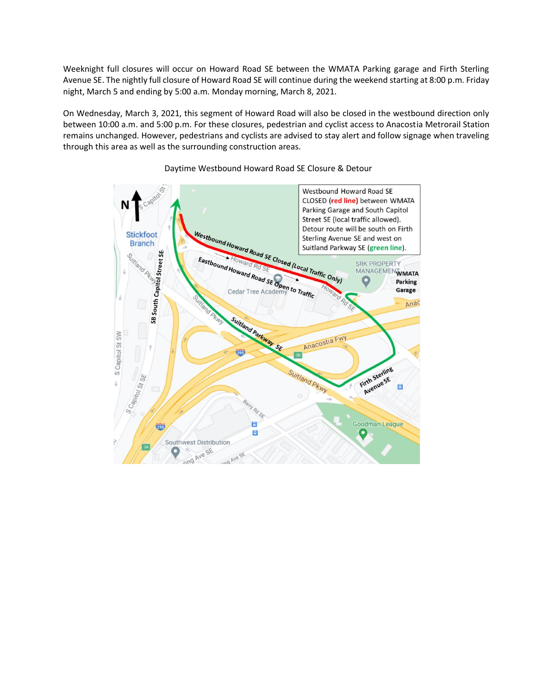Weeknight full closures will occur on Howard Road SE between the WMATA Parking garage and Firth Sterling Avenue SE. The nightly full closure of Howard Road SE will continue during the weekend starting at 8:00 p.m. Friday night, March 5 and ending by 5:00 a.m. Monday morning, March 8, 2021.

On Wednesday, March 3, 2021, this segment of Howard Road will also be closed in the westbound direction only between 10:00 a.m. and 5:00 p.m. For these closures, pedestrian and cyclist access to Anacostia Metrorail Station remains unchanged. However, pedestrians and cyclists are advised to stay alert and follow signage when traveling through this area as well as the surrounding construction areas.



Daytime Westbound Howard Road SE Closure & Detour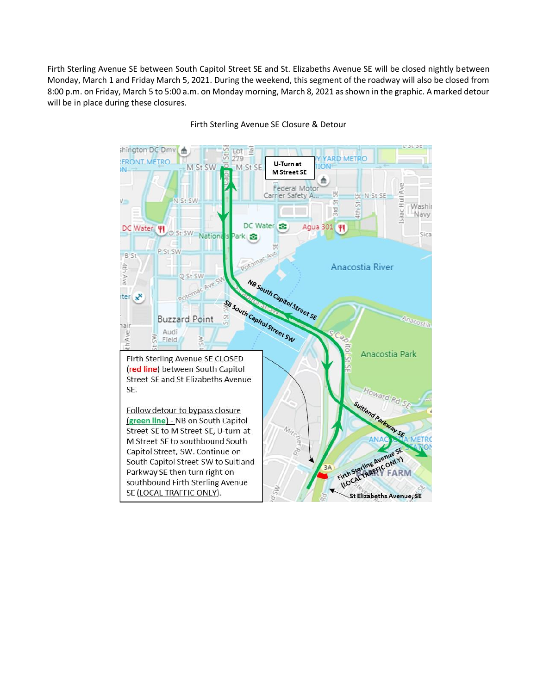Firth Sterling Avenue SE between South Capitol Street SE and St. Elizabeths Avenue SE will be closed nightly between Monday, March 1 and Friday March 5, 2021. During the weekend, this segment of the roadway will also be closed from 8:00 p.m. on Friday, March 5 to 5:00 a.m. on Monday morning, March 8, 2021 as shown in the graphic. A marked detour will be in place during these closures.



Firth Sterling Avenue SE Closure & Detour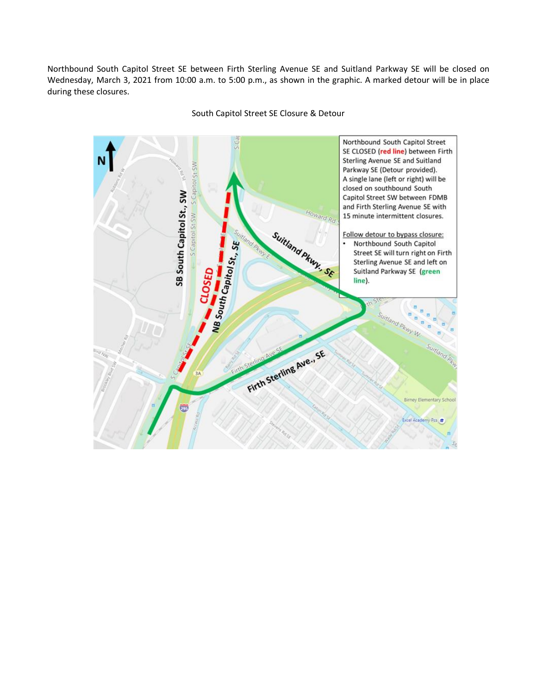Northbound South Capitol Street SE between Firth Sterling Avenue SE and Suitland Parkway SE will be closed on Wednesday, March 3, 2021 from 10:00 a.m. to 5:00 p.m., as shown in the graphic. A marked detour will be in place during these closures.



## South Capitol Street SE Closure & Detour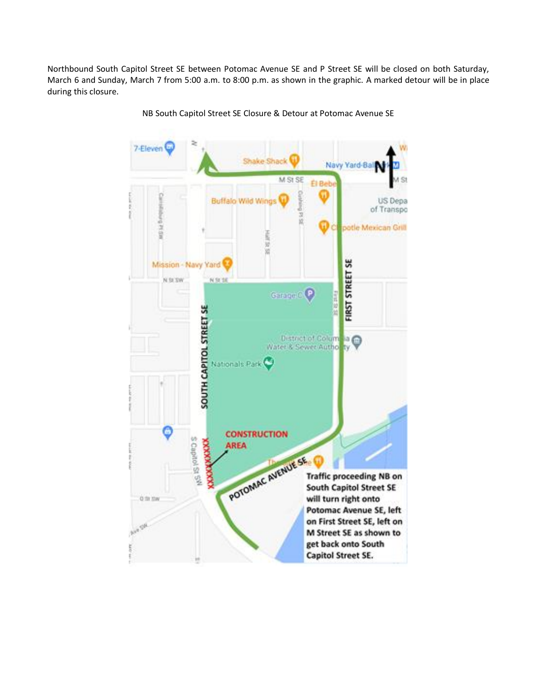Northbound South Capitol Street SE between Potomac Avenue SE and P Street SE will be closed on both Saturday, March 6 and Sunday, March 7 from 5:00 a.m. to 8:00 p.m. as shown in the graphic. A marked detour will be in place during this closure.



NB South Capitol Street SE Closure & Detour at Potomac Avenue SE